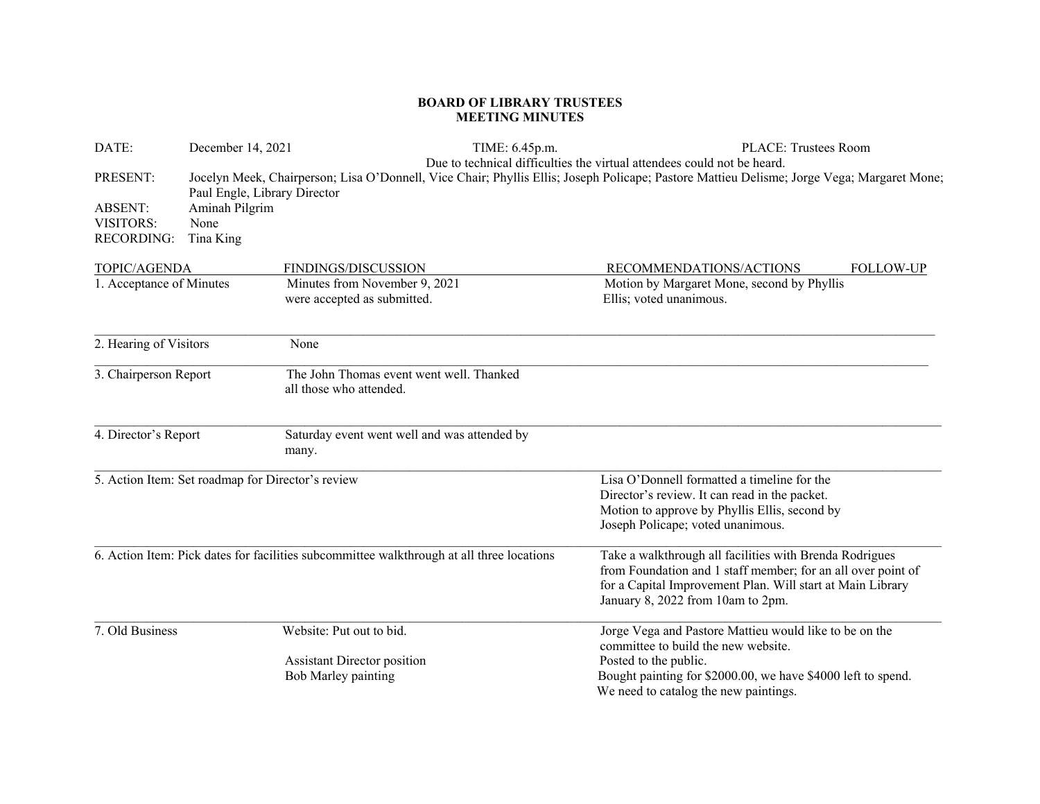## **BOARD OF LIBRARY TRUSTEES MEETING MINUTES**

| DATE:                                                               | December 14, 2021                                                   | TIME: 6.45p.m.                                                                            | PLACE: Trustees Room                                                                                                                                                                                                       |
|---------------------------------------------------------------------|---------------------------------------------------------------------|-------------------------------------------------------------------------------------------|----------------------------------------------------------------------------------------------------------------------------------------------------------------------------------------------------------------------------|
| PRESENT:<br><b>ABSENT:</b><br><b>VISITORS:</b><br><b>RECORDING:</b> | Paul Engle, Library Director<br>Aminah Pilgrim<br>None<br>Tina King |                                                                                           | Due to technical difficulties the virtual attendees could not be heard.<br>Jocelyn Meek, Chairperson; Lisa O'Donnell, Vice Chair; Phyllis Ellis; Joseph Policape; Pastore Mattieu Delisme; Jorge Vega; Margaret Mone;      |
| TOPIC/AGENDA                                                        |                                                                     | FINDINGS/DISCUSSION                                                                       | RECOMMENDATIONS/ACTIONS<br><b>FOLLOW-UP</b>                                                                                                                                                                                |
| 1. Acceptance of Minutes                                            |                                                                     | Minutes from November 9, 2021<br>were accepted as submitted.                              | Motion by Margaret Mone, second by Phyllis<br>Ellis; voted unanimous.                                                                                                                                                      |
| 2. Hearing of Visitors                                              |                                                                     | None                                                                                      |                                                                                                                                                                                                                            |
| 3. Chairperson Report                                               |                                                                     | The John Thomas event went well. Thanked<br>all those who attended.                       |                                                                                                                                                                                                                            |
| 4. Director's Report                                                |                                                                     | Saturday event went well and was attended by<br>many.                                     |                                                                                                                                                                                                                            |
| 5. Action Item: Set roadmap for Director's review                   |                                                                     |                                                                                           | Lisa O'Donnell formatted a timeline for the<br>Director's review. It can read in the packet.<br>Motion to approve by Phyllis Ellis, second by<br>Joseph Policape; voted unanimous.                                         |
|                                                                     |                                                                     | 6. Action Item: Pick dates for facilities subcommittee walkthrough at all three locations | Take a walkthrough all facilities with Brenda Rodrigues<br>from Foundation and 1 staff member; for an all over point of<br>for a Capital Improvement Plan. Will start at Main Library<br>January 8, 2022 from 10am to 2pm. |
| 7. Old Business                                                     |                                                                     | Website: Put out to bid.                                                                  | Jorge Vega and Pastore Mattieu would like to be on the<br>committee to build the new website.                                                                                                                              |
|                                                                     |                                                                     | <b>Assistant Director position</b>                                                        | Posted to the public.                                                                                                                                                                                                      |
|                                                                     |                                                                     | Bob Marley painting                                                                       | Bought painting for \$2000.00, we have \$4000 left to spend.<br>We need to catalog the new paintings.                                                                                                                      |